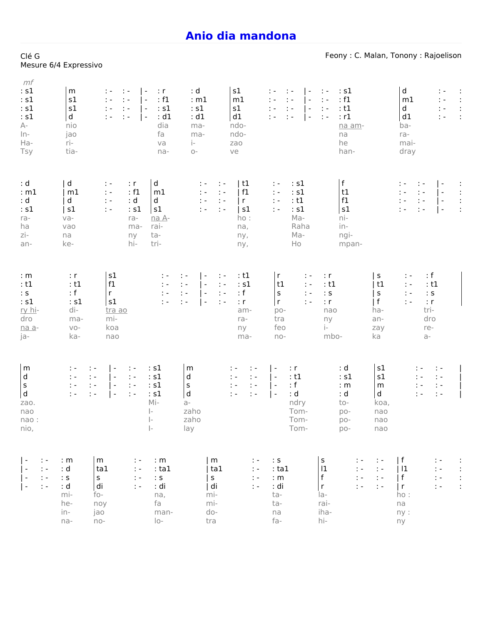## **Anio dia [mandona](https://solfa.finday.org/anio-dia-mandona)**

Clé G

|                                                                                                                                           | Mesure 6/4 Expressivo                                                                                 |                                                                                                                                                                                                                                   |                                                                                                                                                              |                                                                                                                                                                                                                                                      |                                                                                                                                                                                                                                                               |                                                                                                                                                                         |                                                                                                                                                                            |                                                                                                                                                  |
|-------------------------------------------------------------------------------------------------------------------------------------------|-------------------------------------------------------------------------------------------------------|-----------------------------------------------------------------------------------------------------------------------------------------------------------------------------------------------------------------------------------|--------------------------------------------------------------------------------------------------------------------------------------------------------------|------------------------------------------------------------------------------------------------------------------------------------------------------------------------------------------------------------------------------------------------------|---------------------------------------------------------------------------------------------------------------------------------------------------------------------------------------------------------------------------------------------------------------|-------------------------------------------------------------------------------------------------------------------------------------------------------------------------|----------------------------------------------------------------------------------------------------------------------------------------------------------------------------|--------------------------------------------------------------------------------------------------------------------------------------------------|
| mf<br>: s1<br>: s1<br>: s1<br>: s1<br>$A-$<br>$ln-$<br>Ha-<br>Tsy                                                                         | m<br>s1<br>s1<br>d<br>nio<br>jao<br>ri-<br>tia-                                                       | $\ddot{z}$<br>$\overline{\phantom{a}}$<br>÷.<br>$\ddot{ }$ =<br>$\ddot{\phantom{1}}$ .<br>$\overline{\phantom{a}}$<br>$\ddot{ }$ =<br>$\mathbf{1}$<br>$\overline{\phantom{a}}$<br>$\mathsf{I}$ -<br>$\ddot{ }$ =<br>$\mathcal{L}$ | : d<br>$\cdot$ r<br>: f1<br>$\cdot$ s1<br>: s1<br>: d1<br>: d1<br>dia<br>ma-<br>fa<br>ma-<br>$\mathbf{i}$<br>va<br>na-<br>$O -$                              | s1<br>: m1<br>m1<br>s1<br>d1<br>ndo-<br>ndo-<br>zao<br>ve                                                                                                                                                                                            | ÷.<br>$\ddot{\phantom{1}}$<br>$\overline{\phantom{a}}$<br>$\ddot{\phantom{1}}$ .<br>$\mathbb{R}$ =<br>$\overline{\phantom{a}}$<br>$\ddot{ }$ =<br>$\ddot{\phantom{1}}$ .<br>$\overline{\phantom{a}}$<br>$\mathbb{R}$ $\sim$<br>÷.<br>$\overline{\phantom{a}}$ | : s1<br>$\ddot{z}$<br>: f1<br>$\ddot{z}$<br>: t1<br>$\ddot{z}$<br>: r1<br>$\sim$<br>na am-<br>na<br>he<br>han-                                                          | d<br>m1<br>d<br>d1<br>ba-<br>ra-<br>mai-<br>dray                                                                                                                           | ÷<br>÷.<br>$\ddot{\phantom{a}}$<br>$\mathbb{C} \times$<br>$\ddot{\cdot}$<br>$\mathbb{C} \subset \mathbb{R}$<br>÷<br>$\mathcal{C} = \mathcal{C}$  |
| : d<br>: m1<br>: d<br>: s1<br>ra-<br>ha<br>zi-<br>an-                                                                                     | d<br>m1<br>d<br>s1<br>va-<br>vao<br>na<br>ke-                                                         | : r<br>$\ddot{\phantom{1}}$<br>: f1<br>t -<br>: d<br>t -<br>: s1<br>$\ddot{ }$ -<br>ra-<br>ma-<br>ny<br>hi-                                                                                                                       | d<br>m1<br>d<br>s1<br>na A-<br>rai-<br>ta-<br>tri-                                                                                                           | t1<br>t -<br>$\ddot{ }$ -<br>f1<br>$\mathbb{C} \subset \mathbb{R}$<br>$\ddot{\phantom{1}}$ .<br>$\mathbb{C} \subset \mathbb{R}$<br>  r<br>$\mathbf{H}$<br>s1<br>$\mathcal{I}$ .<br>$\mathbf{1}$<br>ho:<br>na,<br>ny,<br>ny,                          | : s1<br>t -<br>: s1<br>$\ddot{\phantom{1}}$ .<br>: t1<br>$\ddot{\phantom{1}}$ .<br>: s1<br>$\ddot{ }$ -<br>Ma-<br>Raha<br>Ma-<br>Ho                                                                                                                           | f <br>t1<br>f1<br>s1<br>ni-<br>in-<br>ngi-<br>mpan-                                                                                                                     | $\ddot{ }$ =<br>: -<br>$\mathbf{1}$<br>t e<br>$\ddot{ }$ =<br>$\mathbb{C} \subset \mathbb{R}$<br>$\ddot{ }$ $\ddot{ }$<br>$\ddot{z}$ =                                     | $\overline{\phantom{a}}$<br>$\ddot{\phantom{a}}$<br>$\blacksquare$<br>$\ddot{\cdot}$<br>$\overline{a}$<br>$\ddot{\phantom{a}}$<br>$\overline{ }$ |
| : m<br>: t1<br>: S<br>: s1<br>ry hi-<br>dro<br>na a-<br>ja-                                                                               | : r<br>: t1<br>: f<br>: s1<br>di-<br>ma-<br>$VO-$<br>ka-                                              | s1<br>f1<br>$r_{\parallel}$<br>s1<br>tra ao<br>mi-<br>koa<br>nao                                                                                                                                                                  | t -<br>÷.<br>$\mathcal{L}$<br>t -<br>$\ddot{\phantom{1}}$ .<br>t -<br>$\ddot{ }$ =<br>$\mathbf{1}$                                                           | : t1<br>$\overline{\phantom{a}}$<br>$\ddot{\phi}$ .<br>: s1<br>$\ddot{\phantom{1}}$ .<br>$\overline{\phantom{a}}$<br>: f<br>$\pm$ $\pm$<br>$\overline{\phantom{a}}$<br>: r<br>$\mathcal{I}$ -<br>$\overline{\phantom{a}}$<br>am-<br>ra-<br>ny<br>ma- | r<br>$\mathbb{C}$ –<br>t1<br>$\mathbb{C} \subset \mathbb{R}$<br>$\sf s$<br>$\ddot{\nu}$ =<br>r<br>$\mathbb{R}$ =<br>$po-$<br>tra<br>feo<br>$no-$                                                                                                              | : r<br>: t1<br>: ${\sf s}$<br>: r<br>nao<br>ny<br>$i-$<br>mbo-                                                                                                          | $\sf S$<br>t -<br>t1<br>$\ddot{\phantom{1}}$<br>$\sf S$<br>$\ddot{\phantom{1}}$<br>$\mathsf{f}$<br>$\mathcal{L}$<br>tri-<br>ha-<br>dro<br>an-<br>zay<br>re-<br>ka<br>$a -$ | : f<br>: t1<br>$\therefore$ S<br>: r                                                                                                             |
| m<br>d<br>$\sf s$<br>${\sf d}$<br>zao.<br>nao<br>nao:<br>nio,                                                                             | : -<br>t -<br>$\mathcal{L} =$<br>÷ –<br>$\ddot{\nu}$ =<br>t -<br>$\ddot{\phantom{1}}$<br>$\mathbb{R}$ | $\overline{\phantom{a}}$<br>$\ddot{ }$ -<br>$\overline{a}$<br>$\ddot{z}$<br>$\overline{\phantom{a}}$<br>$\ddot{\phantom{1}}$<br>$\blacksquare$<br>$\ddot{ }$ $\ddot{ }$                                                           | : s1<br>m<br>: s1<br>d<br>: s1<br>S<br>${\sf d}$<br>: s1<br>Mi-<br>$a -$<br>$\vert -$<br>zaho<br>$\Big\vert -$<br>zaho<br>$\left\vert -\right\rangle$<br>lay | ÷ –<br>$\ddot{ }$ -<br>$\ddot{ }$ =<br>$\ddot{ }$ =<br>$\ddot{\phantom{1}}$ .<br>$\ddot{\phantom{1}}$<br>$\ddot{ }$ =<br>$\mathcal{I}$                                                                                                               | : r<br>$\mathsf{I}$ –<br>: t1<br>$\mathsf{I}$ –<br>: f<br>l -<br>: d<br>$\overline{\phantom{a}}$<br>ndry<br>Tom-<br>Tom-<br>Tom-                                                                                                                              | : d<br>: s1<br>: m<br>: d<br>to-<br>$DO-$<br>$p_{0}$ -<br>$DO-$                                                                                                         | s1<br>: -<br>s1<br>: -<br>m<br>t -<br>d<br>$\mathbb{I}$ –<br>koa,<br>nao<br>nao<br>nao                                                                                     | $\ddot{\phantom{0}}$ .<br>$\mathcal{L} = 0$<br>$\mathbb{C} \subset \mathbb{R}$<br>$\ddot{a}$                                                     |
| $\vert$ -<br>$\ddot{\nu}$ =<br>$\ddot{\phantom{1}}$ .<br>$\vert$ -<br>$\mathcal{I}$ -<br>$\vert$ -<br>$\ddot{\phantom{1}}$ .<br>$\vert$ - | : m<br>: d<br>$\div$ S<br>: d<br>mi-<br>he-<br>in-<br>na-                                             | ${\sf m}$<br>t -<br>ta1<br>t -<br>$\sf S$<br>$\ddot{z}$<br>di<br>$\mathbb{R}$ =<br>fo-<br>noy<br>jao<br>$no-$                                                                                                                     | : m<br>: ta1<br>: ${\sf s}$<br>: di<br>na,<br>fa<br>man-<br>$ O -$                                                                                           | m<br>t -<br>ta1<br>$\mathbb{C} \subset \mathbb{R}$<br>$\mathsf S$<br>$\mathbb{Z}^2$ .<br>  di<br>$\ddot{\chi}$ =<br>mi-<br>mi-<br>$d_{0}$ -<br>tra                                                                                                   | $\colon \mathsf{s}$<br>:ta1<br>: m<br>: di<br>ta-<br>ta-<br>na<br>fa-                                                                                                                                                                                         | ${\sf s}$<br>$\ddot{\phantom{1}}$<br> 1<br>$\ddot{\phi}$ =<br>$\sf f$<br>$\ddot{\phantom{1}}$ =<br>$\mathsf{r}$<br>$\ddot{\phantom{1}}$<br>$1a-$<br>rai-<br>iha-<br>hi- | f<br>$\sim$ $-$<br>$\pm$ $\pm$<br> 11<br>  $f$<br>$\pm$ $\pm$<br>$\ddot{\chi}$ =<br>  r<br>ho:<br>na<br>ny:<br>ny                                                          | ÷.<br>÷<br>÷<br>$\ddot{ }$ =<br>÷<br>$\ddot{\phantom{1}}$ .<br>$\ddot{\phantom{a}}$<br>$\ddot{\phantom{1}}$ .                                    |

## Feony : C. Malan, Tonony : Rajoelison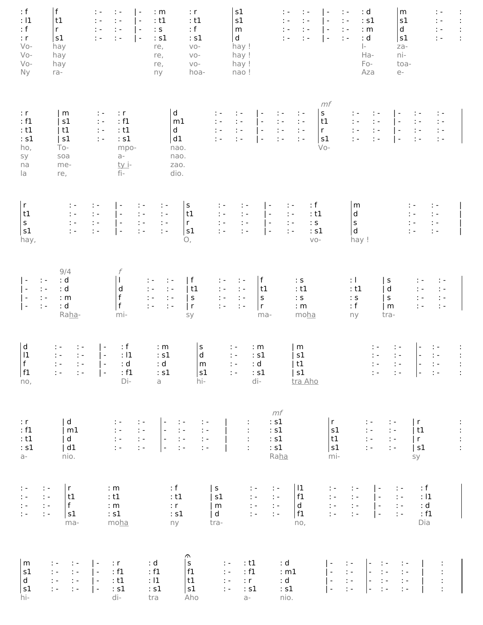| : $f$<br>: 11<br>: f<br>: r<br>$V_0$ -<br>$V_0$ -<br>$Vo-$<br><b>Ny</b>                                           | f<br>t1<br>$r_{\parallel}$<br>s1<br>hay<br>hay<br>hay<br>ra-                                                                                           | $\ddot{\phantom{1}}$<br>$\mathcal{I}$ .<br>$\overline{\phantom{m}}$<br>$\ddot{\gamma}$ =<br>$\ddot{\nu}$ =<br>$\overline{\phantom{a}}$<br>$\mathcal{I}=\mathcal{I}$<br>$\mathcal{L}$ =<br>l -<br>$\ddot{z}$<br>$\ddot{\phantom{1}}$ .<br>$\vert$ - | : m<br>: r<br>: t1<br>: t1<br>: f<br>$\therefore$ S<br>: s1<br>: s1<br>$VO -$<br>re,<br>$VO -$<br>re,<br>$VO -$<br>re,<br>hoa-<br>ny                                                                                  | s1<br>s1<br>${\sf m}$<br>$\mathsf{d}$<br>hay !<br>hay !<br>hay !<br>nao!                                                                                                                                                                                                                                                                                                                                                                                                                      | $\ddot{\phantom{1}}$ .<br>t -<br>$\overline{\phantom{a}}$<br>$\ddot{\nu}$ =<br>$\mathbb{R}$ =<br>$\overline{\phantom{a}}$<br>$\mathbb{C} \subset \mathbb{R}$<br>t -<br>l –<br>$\ddot{\gamma}$ =<br>$\mathcal{L} =$<br>$\vert$ -                    | : d<br>$\ddot{\phantom{1}}$<br>: s1<br>$\ddot{\phantom{1}}$<br>$\ddot{\phantom{1}}$ .<br>: m<br>: d<br>$\ddot{ }$ -<br>$\Big\vert -$<br>Ha-<br>Fo-<br>Aza                                                                                                                                                                                                                                                                                                                                                      | m<br>$\mathcal{I}^{\mathcal{I}}$ .<br>s1<br>$\ddot{\phantom{1}}$<br>d<br>$\mathbb{S}^2$ .<br>$\mathbb{R}^2$<br>s1<br>za-<br>ni-<br>toa-<br>$e-$                                                                                                                                                                                                                                                                                                                    | $\ddot{\phantom{0}}$<br>$\ddot{\phantom{a}}$<br>ł, |
|-------------------------------------------------------------------------------------------------------------------|--------------------------------------------------------------------------------------------------------------------------------------------------------|----------------------------------------------------------------------------------------------------------------------------------------------------------------------------------------------------------------------------------------------------|-----------------------------------------------------------------------------------------------------------------------------------------------------------------------------------------------------------------------|-----------------------------------------------------------------------------------------------------------------------------------------------------------------------------------------------------------------------------------------------------------------------------------------------------------------------------------------------------------------------------------------------------------------------------------------------------------------------------------------------|----------------------------------------------------------------------------------------------------------------------------------------------------------------------------------------------------------------------------------------------------|----------------------------------------------------------------------------------------------------------------------------------------------------------------------------------------------------------------------------------------------------------------------------------------------------------------------------------------------------------------------------------------------------------------------------------------------------------------------------------------------------------------|--------------------------------------------------------------------------------------------------------------------------------------------------------------------------------------------------------------------------------------------------------------------------------------------------------------------------------------------------------------------------------------------------------------------------------------------------------------------|----------------------------------------------------|
| : r<br>: f1<br>: t1<br>: s1<br>ho,<br>sy<br>na<br>la                                                              | m<br>s1<br>t1<br>s1<br>$To-$<br>soa<br>me-<br>re,                                                                                                      | : r<br>$\sim$<br>: f1<br>$\ddot{\phantom{0}}$ .<br>: t1<br>$\ddot{\nu}$ =<br>: s1<br>$\ddot{\nu}$ =<br>mpo-<br>$a -$<br><u>ty i</u> -<br>fi-                                                                                                       | d<br>m1<br>$\mathsf d$<br>d1<br>nao.<br>nao.<br>zao.<br>dio.                                                                                                                                                          | $\ddot{\nu}$ =<br>$\mathcal{L} =$<br>$\vdash$<br>$\ddot{\phantom{1}}$ .<br>$\ddot{\nu}$ =<br>$\vert$ -<br>$\frac{1}{2}$ .<br>$\ddot{\chi}$ =<br>$\vert$ -<br>$\ddot{\phantom{1}}$<br>$\vert$ -<br>$\ddot{\Sigma}$ =                                                                                                                                                                                                                                                                           | mf<br>${\sf S}$<br>$\ddot{\gamma}$ =<br>$\ddot{\phantom{1}}$<br>$\ddot{\phantom{0}}$ .<br>t1<br>$\mathbb{C} \subset \mathbb{R}$<br>$\ddot{\phantom{1}}$ .<br>$\mathcal{L}$<br>$r_{\parallel}$<br>$\ddot{\Sigma}$ =<br>s1<br>$\mathcal{L}$<br>$Vo-$ | t -<br>$\ddot{\phantom{1}}$ .<br>$\frac{1}{2}$ .<br>$\ddot{\phantom{1}}$<br>$\mathbb{R}^2$<br>$\frac{1}{2}$ .<br>$\ddot{\phantom{1}}$<br>$\ddot{z}$ =                                                                                                                                                                                                                                                                                                                                                          | $\mathbb{Z}^n$<br>$\overline{\phantom{a}}$<br>÷.<br>$\blacksquare$<br>$\mathbb{C} \subset \mathbb{R}$<br>$\ddot{\phantom{1}}$ .<br>$\mathcal{C} =$<br>l -<br>$\ddot{z}$<br>$\mathcal{I}^{\mathcal{I}}$ =<br>l -<br>$\ddot{z}$ =                                                                                                                                                                                                                                    |                                                    |
| r<br>t1<br>$\mathsf{s}$<br>s1<br>hay,                                                                             | $\ddot{\phantom{1}}$<br>$\ddot{a}$<br>$\frac{1}{2}$ =<br>$\ddot{z}$                                                                                    | $\zeta \sim$<br>$\ddot{ }$ =<br>l -<br>$\ddot{z}$<br>$\frac{1}{2}$ .<br>$\mathsf{I}$ –<br>$\mathcal{I}=\mathcal{I}$<br>$\mathsf{I}$ -<br>$\ddot{z}$ =<br>$\ddot{z}$ =<br>$\ddot{z}$ =<br>$\vert$ -                                                 | $\mathsf S$<br>$\ddot{\phantom{1}}$ .<br>t1<br>$\ddot{\chi}$ =<br>$r_{\parallel}$<br>$\ddot{\chi}$ =<br>s1<br>$\ddot{z}$<br>О,                                                                                        | ÷.<br>÷.<br>$\mathbb{C}^2$<br>$\mathbb{C} \subset \mathbb{R}$<br>$\mathsf{I}$ –<br>$\ddot{\phi}$ =<br>$\mathbb{C} \subset \mathbb{R}$<br>I÷<br>$\ddot{\phantom{0}}$ .<br>$\mathbb{R}$ =<br>$\vert$ -                                                                                                                                                                                                                                                                                          | : f<br>÷,<br>$\overline{\phantom{a}}$<br>: t1<br>$\ddot{\phantom{1}}$<br>$\colon \mathsf{s}$<br>$\ddot{\phantom{1}}$ .<br>: s1<br>$\mathbb{C} \subset \mathbb{R}$<br>$VO-$                                                                         | m<br>$\mathsf{d}$<br>$\sf s$<br>$\mathsf{d}$<br>hay !                                                                                                                                                                                                                                                                                                                                                                                                                                                          | ÷.<br>÷ -<br>$\ddot{\phantom{1}}$ .<br>$\mathbb{C} \subset \mathbb{R}$<br>$\ddot{\phi}$ =<br>$\mathbb{C} \subset \mathbb{R}$<br>$\ddot{\phi}$ =<br>$\mathbb{C} \subset \mathbb{R}$                                                                                                                                                                                                                                                                                 |                                                    |
| $\vert$ -<br>$\vert$ -<br>- ا<br>l -                                                                              | 9/4<br>: d<br>$\ddot{\phantom{1}}$ .<br>$\frac{1}{2}$ .<br>: d<br>$\mathbb{C}$ -<br>: m<br>: d<br>$\ddot{\phantom{1}}$ .<br>Raha-                      | f<br>$\frac{1}{d}$<br>$\mathsf{f}$<br>mi-                                                                                                                                                                                                          | f <br>$\ddot{\phantom{1}}$ .<br>$\ddot{\phantom{0}}$ .<br>$\frac{1}{2}$ .<br> t1<br>$\ddot{\gamma}$ =<br>$\begin{array}{c} 1 \\ 1 \\ 1 \end{array}$<br>$\ddot{\Sigma}$ =<br>$\vert$ s<br> r <br>$\frac{1}{2}$ .<br>sy | f<br>$\ddot{\phantom{1}}$ .<br>$\mathbb{C} \subset \mathbb{R}$<br>t1<br>$\ddot{\phantom{0}}$ .<br>$\ddot{z}$<br>$\frac{1}{2}$ .<br>$\sf S$<br>$\ddot{\nu}$ =<br>$\frac{1}{2}$ .<br>$\mathsf{r}$<br>$\mathbb{R}$ =<br>ma-                                                                                                                                                                                                                                                                      | : ${\sf s}$<br>: t1<br>: ${\sf s}$<br>: m<br>moha                                                                                                                                                                                                  | $\pm 1$<br>: t1<br>: ${\sf s}$<br>: f<br>ny                                                                                                                                                                                                                                                                                                                                                                                                                                                                    | s<br>t -<br>÷.<br>d<br>$\mathbb{C} \subset \mathbb{R}$<br>$\ddot{\nu}$ =<br>$\sf S$<br>$\ddot{\nu}$ =<br>$\ddot{\gamma}$ =<br>$\frac{1}{2}$ . $\frac{1}{2}$<br>m<br>$\ddot{z}$<br>tra-                                                                                                                                                                                                                                                                             |                                                    |
| $\mathsf{d}$<br> 11<br>$\begin{array}{c} f \\ f1 \end{array}$<br>no,                                              | $\mathbb{C} \subset \mathbb{R}$<br>$\frac{1}{2}$ .<br>$\mathcal{C} =$<br>$\begin{array}{ccc} 1+&1+&1\\ 1+&1+&1 \end{array}$                            | : f<br>$\overline{\phantom{a}}$<br>: 11<br>$\vert$ -<br>: d<br>: $f1$<br>Di-                                                                                                                                                                       | $\begin{bmatrix} s \\ d \end{bmatrix}$<br>: m<br>: s1<br>: d<br>$\mathsf{m}$<br>s1<br>: s1<br>hi-<br>a                                                                                                                | : m<br>÷.<br>$\ddot{\phantom{1}}$<br>: s1<br>$\ddot{\nu}$ =<br>: d<br>$\ddot{\phantom{1}}$ :<br>: s1<br>di-                                                                                                                                                                                                                                                                                                                                                                                   | m<br>s1<br>  t1<br>s1<br>tra Aho                                                                                                                                                                                                                   | $\ddot{z}$                                                                                                                                                                                                                                                                                                                                                                                                                                                                                                     | $\ddot{\phantom{1}}$ .<br>$\ddot{\phantom{1}}$ .<br>$\vert$ -<br>$\sim 1$ $\sim$<br>$\ddot{\nu}$ =<br>生 セ トロ                                                                                                                                                                                                                                                                                                                                                       | ÷<br>$\ddot{\phantom{a}}$<br>$\frac{1}{2}$         |
| : r<br>: f1<br>: t1<br>: s1<br>a-                                                                                 | d <br>$\mid$ m1<br> d <br> d1<br>nio.                                                                                                                  |                                                                                                                                                                                                                                                    |                                                                                                                                                                                                                       |                                                                                                                                                                                                                                                                                                                                                                                                                                                                                               | mf<br>$\cdot$ s1<br>$\begin{array}{c} \circ \mathsf{s1} \\ \circ \mathsf{s1} \end{array}$<br>: s1<br>Raha                                                                                                                                          | $\begin{vmatrix} r & & \mathbf{i} & \mathbf{j} & \mathbf{k} \\ s1 & & \mathbf{i} & \mathbf{j} & \mathbf{k} \\ t1 & & \mathbf{i} & \mathbf{j} & \mathbf{k} \\ s1 & & \mathbf{i} & \mathbf{j} & \mathbf{k} \\ \end{vmatrix} \times \mathbf{r} \begin{vmatrix} r & & \mathbf{j} & \mathbf{k} \\ r & & \mathbf{k} & \mathbf{k} \\ r & & \mathbf{k} & \mathbf{k} \\ r & & \mathbf{k} & \mathbf{k} \\ r & & \mathbf{k} & \mathbf{k} \\ r & & \mathbf{k} & \mathbf{k} \\ r & & \mathbf{k} & \mathbf{k} \\ r &$<br>mi- | sy                                                                                                                                                                                                                                                                                                                                                                                                                                                                 |                                                    |
| $\begin{array}{l} \mathbf{1} \vdash \mathbf{1} \vdash \mathbf{1} \vdash \mathbf{1} \vdash \mathbf{1} \end{array}$ | r<br>$\mathcal{L}(\mathcal{F})$<br>$\mathbb{C}[\tau]$<br> t1 <br>$\pm$ $\pm$<br>f<br>$\frac{1}{2}$ .<br>s1<br>ma-                                      | : m<br>: t1<br>: m<br>: s1<br>moha                                                                                                                                                                                                                 | : f<br>: t1<br>: r<br>: s1<br>ny                                                                                                                                                                                      | s <br>$\mathcal{L}(\mathcal{A})$<br>$\begin{array}{ll} &\mbox{if}&\mbox{if}\\ &\mbox{if}&\mbox{if}\\ \mbox{if}&\mbox{if}\\ \mbox{if}&\mbox{if}\\ \mbox{if}&\mbox{if}\\ \mbox{if}&\mbox{if}\\ \mbox{if}&\mbox{if}\\ \mbox{if}&\mbox{if}\\ \mbox{if}&\mbox{if}\\ \mbox{if}&\mbox{if}\\ \mbox{if}&\mbox{if}\\ \mbox{if}&\mbox{if}\\ \mbox{if}&\mbox{if}\\ \mbox{if}&\mbox{if}\\ \mbox{if}&\mbox{if}\\ \mbox{if}&\mbox{if}\\ \mbox{if}&\mbox{if}\\ \mbox{if}&\$<br> s1<br>$\mid$ m<br> d <br>tra- | 11<br>$\sim$ $-$<br>$\begin{vmatrix} f1 \\ d \end{vmatrix}$<br> f1 <br>no,                                                                                                                                                                         | $\mathbb{Z}[\pi]$<br>$\mathcal{L}(\mathcal{F})$<br>$\vert$ -<br>$\begin{tabular}{ c c c c c c c c c } \hline $i$ & $i$ & $i$ & $i$ & $i$ \\ \hline $i$ & $i$ & $i$ & $i$ & $i$ & $i$ \\ \hline $i$ & $i$ & $i$ & $i$ & $i$ & $i$ \\ \hline $i$ & $i$ & $i$ & $i$ & $i$ & $i$ \\ \hline \end{tabular}$                                                                                                                                                                                                          | : f<br>$\mathcal{L} =$<br>$\mathcal{O}(\mathcal{E})$<br>: 11<br>: d<br>: f1<br>Dia                                                                                                                                                                                                                                                                                                                                                                                 |                                                    |
| m<br>s1<br>$\mathsf{d}$<br> s1 <br>hi-                                                                            | $\mathcal{L} =$<br>$\ddot{\gamma}$ =<br>$-1 - 1 -$<br>$\ddot{\phantom{1}}$ .<br>$\mathbb{C} \in \mathbb{R}$<br>$-1 - 1 -$<br>$\pm$ $\pm$<br>$\sim 1.4$ | $\vert$ -<br>: r<br>: f1<br>: t1<br>$\vert \vert$ -<br>: s1<br>di-                                                                                                                                                                                 | $\curvearrowright$<br> s <br>: d<br> f1<br>: f1<br>t1<br>: 11<br> s1<br>: s1<br>Aho<br>tra                                                                                                                            | : t1<br>$\ddot{\nu}$ =<br>: f1<br>$\ddot{\phantom{1}}$ .<br>: r<br>$\mathbb{R}^d$<br>: s1<br>$\frac{1}{2}$ .<br>a-                                                                                                                                                                                                                                                                                                                                                                            | nio.                                                                                                                                                                                                                                               |                                                                                                                                                                                                                                                                                                                                                                                                                                                                                                                | $\begin{tabular}{l c c c c c c c c} \hline : & & & & & & & & & \\ \hline : & & & & & & & & & \\ \hline : & & & & & & & & & \\ \hline : & & & & & & & & & \\ \hline : & & & & & & & & & \\ \hline : & & & & & & & & & \\ \hline : & & & & & & & & & \\ \hline : & & & & & & & & & \\ \hline : & & & & & & & & & \\ \hline : & & & & & & & & & & \\ \hline \end{tabular} \hspace{1cm} \begin{tabular}{c c c c} \hline & : & & & & & & & & \\ \hline & : & & & & & &$ |                                                    |